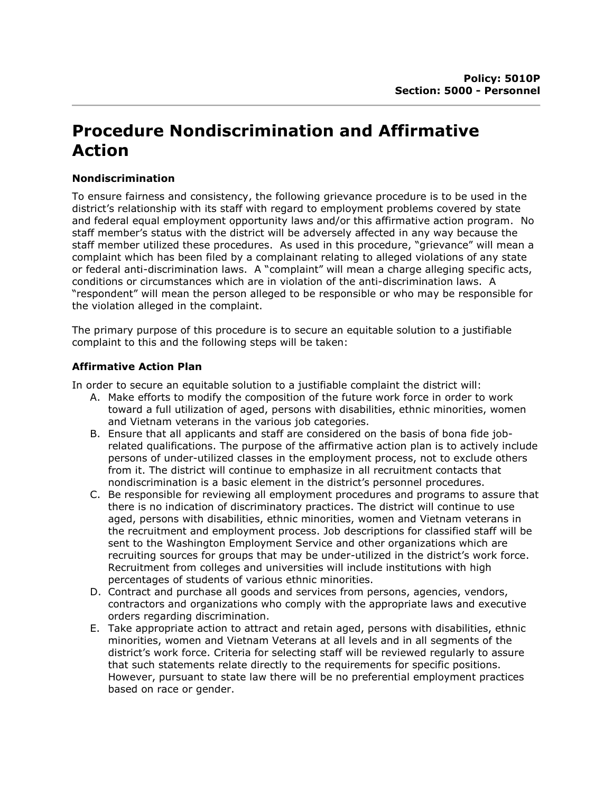# Procedure Nondiscrimination and Affirmative Action

## Nondiscrimination

To ensure fairness and consistency, the following grievance procedure is to be used in the district's relationship with its staff with regard to employment problems covered by state and federal equal employment opportunity laws and/or this affirmative action program. No staff member's status with the district will be adversely affected in any way because the staff member utilized these procedures. As used in this procedure, "grievance" will mean a complaint which has been filed by a complainant relating to alleged violations of any state or federal anti-discrimination laws. A "complaint" will mean a charge alleging specific acts, conditions or circumstances which are in violation of the anti-discrimination laws. A "respondent" will mean the person alleged to be responsible or who may be responsible for the violation alleged in the complaint.

The primary purpose of this procedure is to secure an equitable solution to a justifiable complaint to this and the following steps will be taken:

## Affirmative Action Plan

In order to secure an equitable solution to a justifiable complaint the district will:

- A. Make efforts to modify the composition of the future work force in order to work toward a full utilization of aged, persons with disabilities, ethnic minorities, women and Vietnam veterans in the various job categories.
- B. Ensure that all applicants and staff are considered on the basis of bona fide jobrelated qualifications. The purpose of the affirmative action plan is to actively include persons of under-utilized classes in the employment process, not to exclude others from it. The district will continue to emphasize in all recruitment contacts that nondiscrimination is a basic element in the district's personnel procedures.
- C. Be responsible for reviewing all employment procedures and programs to assure that there is no indication of discriminatory practices. The district will continue to use aged, persons with disabilities, ethnic minorities, women and Vietnam veterans in the recruitment and employment process. Job descriptions for classified staff will be sent to the Washington Employment Service and other organizations which are recruiting sources for groups that may be under-utilized in the district's work force. Recruitment from colleges and universities will include institutions with high percentages of students of various ethnic minorities.
- D. Contract and purchase all goods and services from persons, agencies, vendors, contractors and organizations who comply with the appropriate laws and executive orders regarding discrimination.
- E. Take appropriate action to attract and retain aged, persons with disabilities, ethnic minorities, women and Vietnam Veterans at all levels and in all segments of the district's work force. Criteria for selecting staff will be reviewed regularly to assure that such statements relate directly to the requirements for specific positions. However, pursuant to state law there will be no preferential employment practices based on race or gender.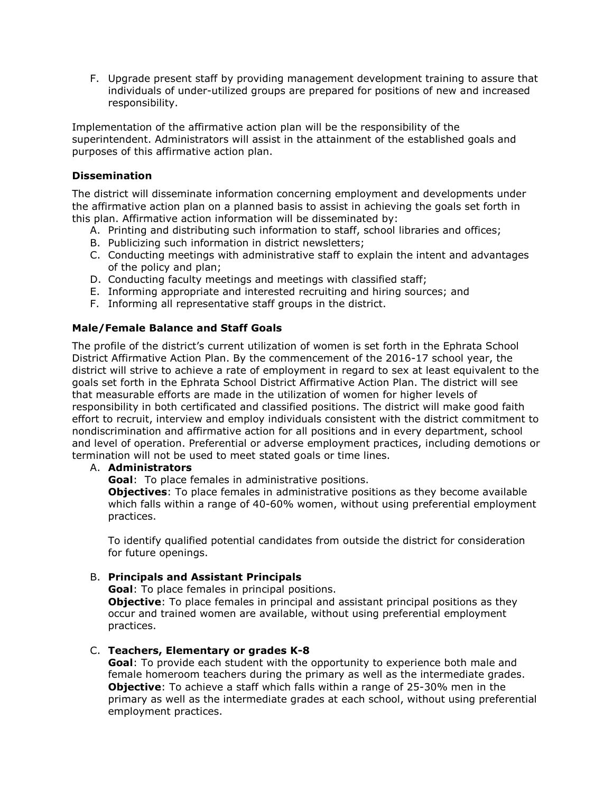F. Upgrade present staff by providing management development training to assure that individuals of under-utilized groups are prepared for positions of new and increased responsibility.

Implementation of the affirmative action plan will be the responsibility of the superintendent. Administrators will assist in the attainment of the established goals and purposes of this affirmative action plan.

## Dissemination

The district will disseminate information concerning employment and developments under the affirmative action plan on a planned basis to assist in achieving the goals set forth in this plan. Affirmative action information will be disseminated by:

- A. Printing and distributing such information to staff, school libraries and offices;
- B. Publicizing such information in district newsletters;
- C. Conducting meetings with administrative staff to explain the intent and advantages of the policy and plan;
- D. Conducting faculty meetings and meetings with classified staff;
- E. Informing appropriate and interested recruiting and hiring sources; and
- F. Informing all representative staff groups in the district.

## Male/Female Balance and Staff Goals

The profile of the district's current utilization of women is set forth in the Ephrata School District Affirmative Action Plan. By the commencement of the 2016-17 school year, the district will strive to achieve a rate of employment in regard to sex at least equivalent to the goals set forth in the Ephrata School District Affirmative Action Plan. The district will see that measurable efforts are made in the utilization of women for higher levels of responsibility in both certificated and classified positions. The district will make good faith effort to recruit, interview and employ individuals consistent with the district commitment to nondiscrimination and affirmative action for all positions and in every department, school and level of operation. Preferential or adverse employment practices, including demotions or termination will not be used to meet stated goals or time lines.

#### A. Administrators

Goal: To place females in administrative positions.

Objectives: To place females in administrative positions as they become available which falls within a range of 40-60% women, without using preferential employment practices.

To identify qualified potential candidates from outside the district for consideration for future openings.

#### B. Principals and Assistant Principals

Goal: To place females in principal positions.

**Objective:** To place females in principal and assistant principal positions as they occur and trained women are available, without using preferential employment practices.

#### C. Teachers, Elementary or grades K-8

Goal: To provide each student with the opportunity to experience both male and female homeroom teachers during the primary as well as the intermediate grades. **Objective**: To achieve a staff which falls within a range of 25-30% men in the primary as well as the intermediate grades at each school, without using preferential employment practices.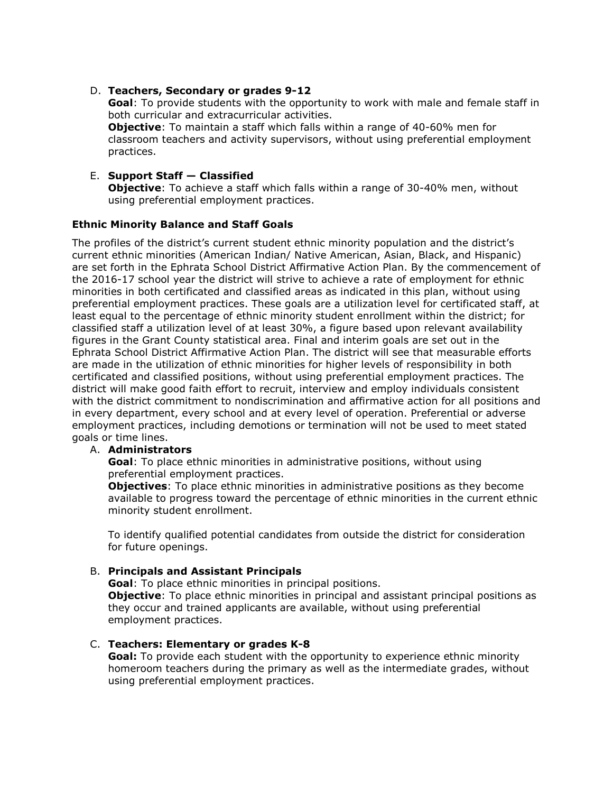## D. Teachers, Secondary or grades 9-12

Goal: To provide students with the opportunity to work with male and female staff in both curricular and extracurricular activities. **Objective**: To maintain a staff which falls within a range of 40-60% men for classroom teachers and activity supervisors, without using preferential employment practices.

# E. Support Staff — Classified

**Objective:** To achieve a staff which falls within a range of 30-40% men, without using preferential employment practices.

## Ethnic Minority Balance and Staff Goals

The profiles of the district's current student ethnic minority population and the district's current ethnic minorities (American Indian/ Native American, Asian, Black, and Hispanic) are set forth in the Ephrata School District Affirmative Action Plan. By the commencement of the 2016-17 school year the district will strive to achieve a rate of employment for ethnic minorities in both certificated and classified areas as indicated in this plan, without using preferential employment practices. These goals are a utilization level for certificated staff, at least equal to the percentage of ethnic minority student enrollment within the district; for classified staff a utilization level of at least 30%, a figure based upon relevant availability figures in the Grant County statistical area. Final and interim goals are set out in the Ephrata School District Affirmative Action Plan. The district will see that measurable efforts are made in the utilization of ethnic minorities for higher levels of responsibility in both certificated and classified positions, without using preferential employment practices. The district will make good faith effort to recruit, interview and employ individuals consistent with the district commitment to nondiscrimination and affirmative action for all positions and in every department, every school and at every level of operation. Preferential or adverse employment practices, including demotions or termination will not be used to meet stated goals or time lines.

#### A. Administrators

Goal: To place ethnic minorities in administrative positions, without using preferential employment practices.

**Objectives:** To place ethnic minorities in administrative positions as they become available to progress toward the percentage of ethnic minorities in the current ethnic minority student enrollment.

To identify qualified potential candidates from outside the district for consideration for future openings.

# B. Principals and Assistant Principals

Goal: To place ethnic minorities in principal positions. **Objective**: To place ethnic minorities in principal and assistant principal positions as they occur and trained applicants are available, without using preferential employment practices.

# C. Teachers: Elementary or grades K-8

Goal: To provide each student with the opportunity to experience ethnic minority homeroom teachers during the primary as well as the intermediate grades, without using preferential employment practices.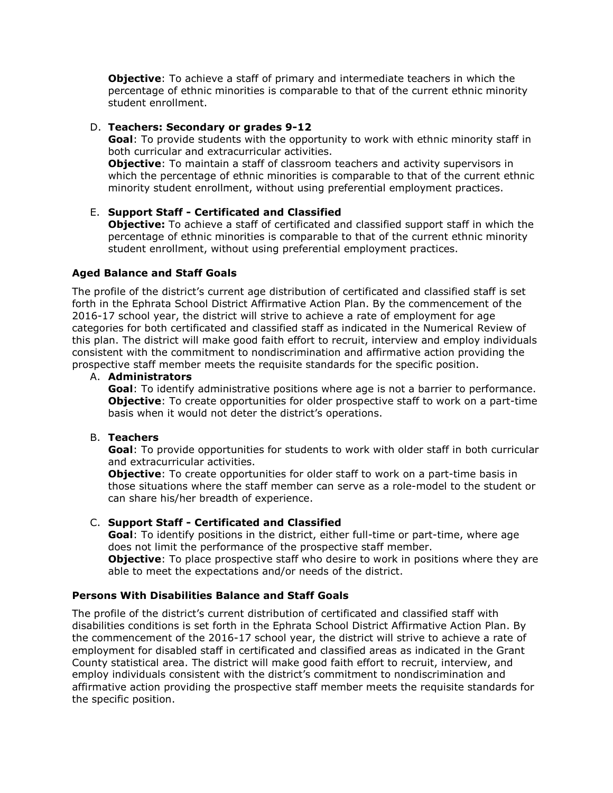**Objective:** To achieve a staff of primary and intermediate teachers in which the percentage of ethnic minorities is comparable to that of the current ethnic minority student enrollment.

## D. Teachers: Secondary or grades 9-12

Goal: To provide students with the opportunity to work with ethnic minority staff in both curricular and extracurricular activities.

**Objective:** To maintain a staff of classroom teachers and activity supervisors in which the percentage of ethnic minorities is comparable to that of the current ethnic minority student enrollment, without using preferential employment practices.

# E. Support Staff - Certificated and Classified

**Objective:** To achieve a staff of certificated and classified support staff in which the percentage of ethnic minorities is comparable to that of the current ethnic minority student enrollment, without using preferential employment practices.

## Aged Balance and Staff Goals

The profile of the district's current age distribution of certificated and classified staff is set forth in the Ephrata School District Affirmative Action Plan. By the commencement of the 2016-17 school year, the district will strive to achieve a rate of employment for age categories for both certificated and classified staff as indicated in the Numerical Review of this plan. The district will make good faith effort to recruit, interview and employ individuals consistent with the commitment to nondiscrimination and affirmative action providing the prospective staff member meets the requisite standards for the specific position.

#### A. Administrators

**Goal:** To identify administrative positions where age is not a barrier to performance. **Objective**: To create opportunities for older prospective staff to work on a part-time basis when it would not deter the district's operations.

#### B. Teachers

Goal: To provide opportunities for students to work with older staff in both curricular and extracurricular activities.

**Objective**: To create opportunities for older staff to work on a part-time basis in those situations where the staff member can serve as a role-model to the student or can share his/her breadth of experience.

# C. Support Staff - Certificated and Classified

Goal: To identify positions in the district, either full-time or part-time, where age does not limit the performance of the prospective staff member.

**Objective:** To place prospective staff who desire to work in positions where they are able to meet the expectations and/or needs of the district.

#### Persons With Disabilities Balance and Staff Goals

The profile of the district's current distribution of certificated and classified staff with disabilities conditions is set forth in the Ephrata School District Affirmative Action Plan. By the commencement of the 2016-17 school year, the district will strive to achieve a rate of employment for disabled staff in certificated and classified areas as indicated in the Grant County statistical area. The district will make good faith effort to recruit, interview, and employ individuals consistent with the district's commitment to nondiscrimination and affirmative action providing the prospective staff member meets the requisite standards for the specific position.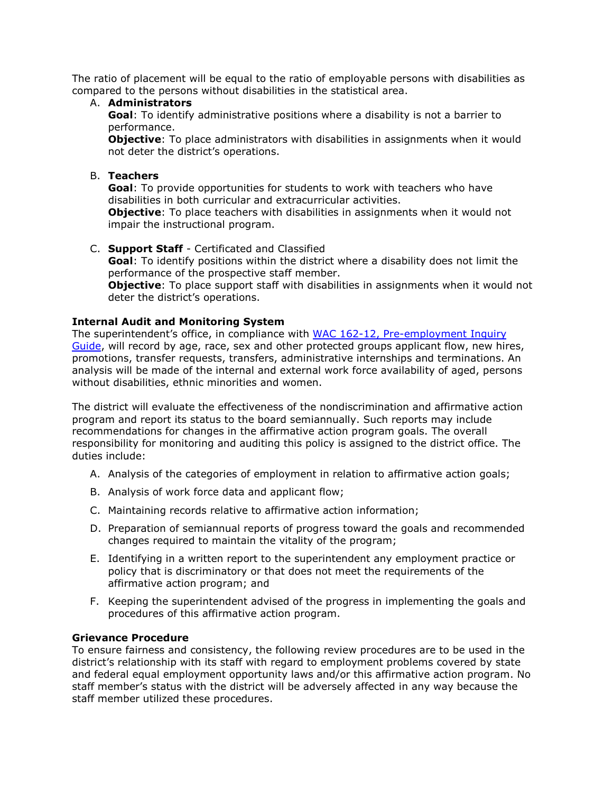The ratio of placement will be equal to the ratio of employable persons with disabilities as compared to the persons without disabilities in the statistical area.

#### A. Administrators

Goal: To identify administrative positions where a disability is not a barrier to performance.

**Objective:** To place administrators with disabilities in assignments when it would not deter the district's operations.

## B. Teachers

Goal: To provide opportunities for students to work with teachers who have disabilities in both curricular and extracurricular activities.

**Objective:** To place teachers with disabilities in assignments when it would not impair the instructional program.

C. Support Staff - Certificated and Classified

Goal: To identify positions within the district where a disability does not limit the performance of the prospective staff member.

**Objective:** To place support staff with disabilities in assignments when it would not deter the district's operations.

## Internal Audit and Monitoring System

The superintendent's office, in compliance with WAC 162-12, Pre-employment Inquiry Guide, will record by age, race, sex and other protected groups applicant flow, new hires, promotions, transfer requests, transfers, administrative internships and terminations. An analysis will be made of the internal and external work force availability of aged, persons without disabilities, ethnic minorities and women.

The district will evaluate the effectiveness of the nondiscrimination and affirmative action program and report its status to the board semiannually. Such reports may include recommendations for changes in the affirmative action program goals. The overall responsibility for monitoring and auditing this policy is assigned to the district office. The duties include:

- A. Analysis of the categories of employment in relation to affirmative action goals;
- B. Analysis of work force data and applicant flow;
- C. Maintaining records relative to affirmative action information;
- D. Preparation of semiannual reports of progress toward the goals and recommended changes required to maintain the vitality of the program;
- E. Identifying in a written report to the superintendent any employment practice or policy that is discriminatory or that does not meet the requirements of the affirmative action program; and
- F. Keeping the superintendent advised of the progress in implementing the goals and procedures of this affirmative action program.

#### Grievance Procedure

To ensure fairness and consistency, the following review procedures are to be used in the district's relationship with its staff with regard to employment problems covered by state and federal equal employment opportunity laws and/or this affirmative action program. No staff member's status with the district will be adversely affected in any way because the staff member utilized these procedures.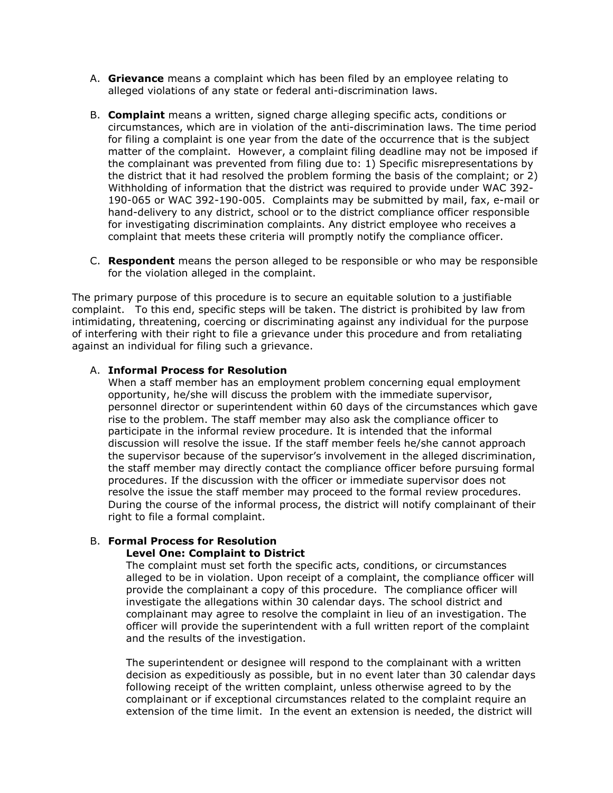- A. Grievance means a complaint which has been filed by an employee relating to alleged violations of any state or federal anti-discrimination laws.
- B. **Complaint** means a written, signed charge alleging specific acts, conditions or circumstances, which are in violation of the anti-discrimination laws. The time period for filing a complaint is one year from the date of the occurrence that is the subject matter of the complaint. However, a complaint filing deadline may not be imposed if the complainant was prevented from filing due to: 1) Specific misrepresentations by the district that it had resolved the problem forming the basis of the complaint; or 2) Withholding of information that the district was required to provide under WAC 392- 190-065 or WAC 392-190-005. Complaints may be submitted by mail, fax, e-mail or hand-delivery to any district, school or to the district compliance officer responsible for investigating discrimination complaints. Any district employee who receives a complaint that meets these criteria will promptly notify the compliance officer.
- C. **Respondent** means the person alleged to be responsible or who may be responsible for the violation alleged in the complaint.

The primary purpose of this procedure is to secure an equitable solution to a justifiable complaint. To this end, specific steps will be taken. The district is prohibited by law from intimidating, threatening, coercing or discriminating against any individual for the purpose of interfering with their right to file a grievance under this procedure and from retaliating against an individual for filing such a grievance.

#### A. Informal Process for Resolution

When a staff member has an employment problem concerning equal employment opportunity, he/she will discuss the problem with the immediate supervisor, personnel director or superintendent within 60 days of the circumstances which gave rise to the problem. The staff member may also ask the compliance officer to participate in the informal review procedure. It is intended that the informal discussion will resolve the issue. If the staff member feels he/she cannot approach the supervisor because of the supervisor's involvement in the alleged discrimination, the staff member may directly contact the compliance officer before pursuing formal procedures. If the discussion with the officer or immediate supervisor does not resolve the issue the staff member may proceed to the formal review procedures. During the course of the informal process, the district will notify complainant of their right to file a formal complaint.

#### B. Formal Process for Resolution Level One: Complaint to District

The complaint must set forth the specific acts, conditions, or circumstances alleged to be in violation. Upon receipt of a complaint, the compliance officer will provide the complainant a copy of this procedure. The compliance officer will investigate the allegations within 30 calendar days. The school district and complainant may agree to resolve the complaint in lieu of an investigation. The officer will provide the superintendent with a full written report of the complaint and the results of the investigation.

The superintendent or designee will respond to the complainant with a written decision as expeditiously as possible, but in no event later than 30 calendar days following receipt of the written complaint, unless otherwise agreed to by the complainant or if exceptional circumstances related to the complaint require an extension of the time limit. In the event an extension is needed, the district will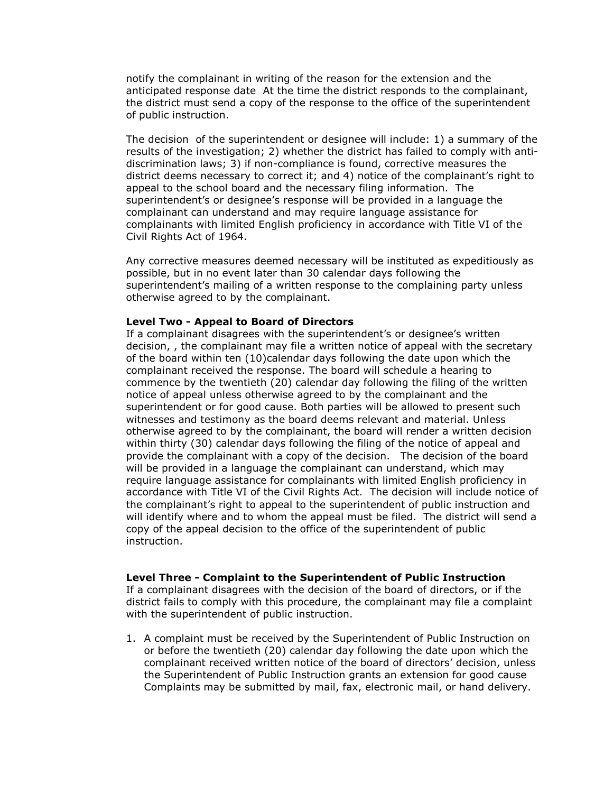notify the complainant in writing of the reason for the extension and the anticipated response date At the time the district responds to the complainant, the district must send a copy of the response to the office of the superintendent of public instruction.

The decision of the superintendent or designee will include: 1) a summary of the results of the investigation; 2) whether the district has failed to comply with antidiscrimination laws; 3) if non-compliance is found, corrective measures the district deems necessary to correct it; and 4) notice of the complainant's right to appeal to the school board and the necessary filing information. The superintendent's or designee's response will be provided in a language the complainant can understand and may require language assistance for complainants with limited English proficiency in accordance with Title VI of the Civil Rights Act of 1964.

Any corrective measures deemed necessary will be instituted as expeditiously as possible, but in no event later than 30 calendar days following the superintendent's mailing of a written response to the complaining party unless otherwise agreed to by the complainant.

#### Level Two - Appeal to Board of Directors

If a complainant disagrees with the superintendent's or designee's written decision, , the complainant may file a written notice of appeal with the secretary of the board within ten (10)calendar days following the date upon which the complainant received the response. The board will schedule a hearing to commence by the twentieth (20) calendar day following the filing of the written notice of appeal unless otherwise agreed to by the complainant and the superintendent or for good cause. Both parties will be allowed to present such witnesses and testimony as the board deems relevant and material. Unless otherwise agreed to by the complainant, the board will render a written decision within thirty (30) calendar days following the filing of the notice of appeal and provide the complainant with a copy of the decision. The decision of the board will be provided in a language the complainant can understand, which may require language assistance for complainants with limited English proficiency in accordance with Title VI of the Civil Rights Act. The decision will include notice of the complainant's right to appeal to the superintendent of public instruction and will identify where and to whom the appeal must be filed. The district will send a copy of the appeal decision to the office of the superintendent of public instruction.

#### Level Three - Complaint to the Superintendent of Public Instruction

If a complainant disagrees with the decision of the board of directors, or if the district fails to comply with this procedure, the complainant may file a complaint with the superintendent of public instruction.

1. A complaint must be received by the Superintendent of Public Instruction on or before the twentieth (20) calendar day following the date upon which the complainant received written notice of the board of directors' decision, unless the Superintendent of Public Instruction grants an extension for good cause Complaints may be submitted by mail, fax, electronic mail, or hand delivery.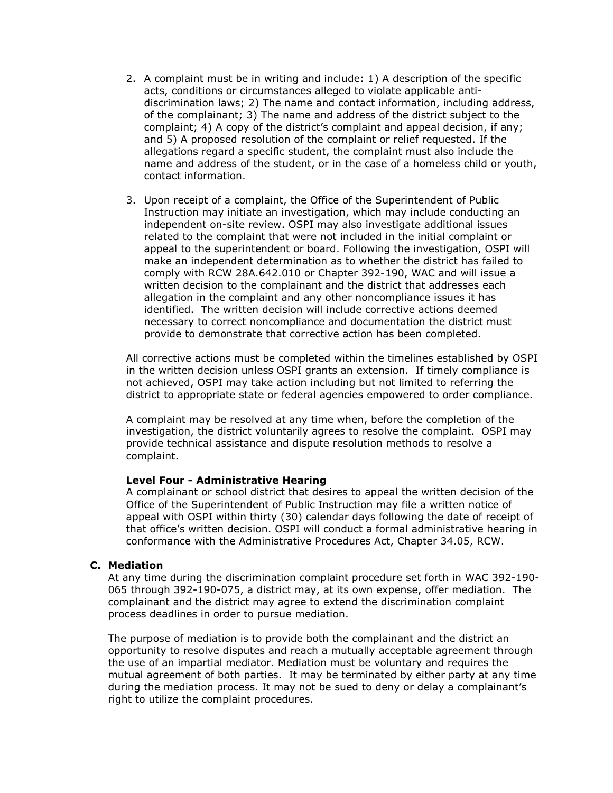- 2. A complaint must be in writing and include: 1) A description of the specific acts, conditions or circumstances alleged to violate applicable antidiscrimination laws; 2) The name and contact information, including address, of the complainant; 3) The name and address of the district subject to the complaint; 4) A copy of the district's complaint and appeal decision, if any; and 5) A proposed resolution of the complaint or relief requested. If the allegations regard a specific student, the complaint must also include the name and address of the student, or in the case of a homeless child or youth, contact information.
- 3. Upon receipt of a complaint, the Office of the Superintendent of Public Instruction may initiate an investigation, which may include conducting an independent on-site review. OSPI may also investigate additional issues related to the complaint that were not included in the initial complaint or appeal to the superintendent or board. Following the investigation, OSPI will make an independent determination as to whether the district has failed to comply with RCW 28A.642.010 or Chapter 392-190, WAC and will issue a written decision to the complainant and the district that addresses each allegation in the complaint and any other noncompliance issues it has identified. The written decision will include corrective actions deemed necessary to correct noncompliance and documentation the district must provide to demonstrate that corrective action has been completed.

All corrective actions must be completed within the timelines established by OSPI in the written decision unless OSPI grants an extension. If timely compliance is not achieved, OSPI may take action including but not limited to referring the district to appropriate state or federal agencies empowered to order compliance.

A complaint may be resolved at any time when, before the completion of the investigation, the district voluntarily agrees to resolve the complaint. OSPI may provide technical assistance and dispute resolution methods to resolve a complaint.

#### Level Four - Administrative Hearing

A complainant or school district that desires to appeal the written decision of the Office of the Superintendent of Public Instruction may file a written notice of appeal with OSPI within thirty (30) calendar days following the date of receipt of that office's written decision. OSPI will conduct a formal administrative hearing in conformance with the Administrative Procedures Act, Chapter 34.05, RCW.

#### C. Mediation

At any time during the discrimination complaint procedure set forth in WAC 392-190- 065 through 392-190-075, a district may, at its own expense, offer mediation. The complainant and the district may agree to extend the discrimination complaint process deadlines in order to pursue mediation.

The purpose of mediation is to provide both the complainant and the district an opportunity to resolve disputes and reach a mutually acceptable agreement through the use of an impartial mediator. Mediation must be voluntary and requires the mutual agreement of both parties. It may be terminated by either party at any time during the mediation process. It may not be sued to deny or delay a complainant's right to utilize the complaint procedures.